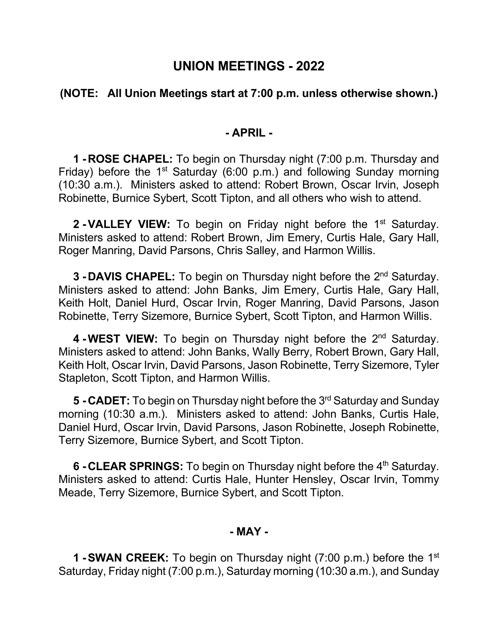# **UNION MEETINGS - 2022**

# **(NOTE: All Union Meetings start at 7:00 p.m. unless otherwise shown.)**

#### **- APRIL -**

**1 -ROSE CHAPEL:** To begin on Thursday night (7:00 p.m. Thursday and Friday) before the 1<sup>st</sup> Saturday (6:00 p.m.) and following Sunday morning (10:30 a.m.). Ministers asked to attend: Robert Brown, Oscar Irvin, Joseph Robinette, Burnice Sybert, Scott Tipton, and all others who wish to attend.

**2 -VALLEY VIEW:** To begin on Friday night before the 1<sup>st</sup> Saturday. Ministers asked to attend: Robert Brown, Jim Emery, Curtis Hale, Gary Hall, Roger Manring, David Parsons, Chris Salley, and Harmon Willis.

**3 - DAVIS CHAPEL:** To begin on Thursday night before the 2<sup>nd</sup> Saturday. Ministers asked to attend: John Banks, Jim Emery, Curtis Hale, Gary Hall, Keith Holt, Daniel Hurd, Oscar Irvin, Roger Manring, David Parsons, Jason Robinette, Terry Sizemore, Burnice Sybert, Scott Tipton, and Harmon Willis.

**4 -WEST VIEW:** To begin on Thursday night before the 2<sup>nd</sup> Saturday. Ministers asked to attend: John Banks, Wally Berry, Robert Brown, Gary Hall, Keith Holt, Oscar Irvin, David Parsons, Jason Robinette, Terry Sizemore, Tyler Stapleton, Scott Tipton, and Harmon Willis.

**5 -CADET:** To begin on Thursday night before the 3rd Saturday and Sunday morning (10:30 a.m.). Ministers asked to attend: John Banks, Curtis Hale, Daniel Hurd, Oscar Irvin, David Parsons, Jason Robinette, Joseph Robinette, Terry Sizemore, Burnice Sybert, and Scott Tipton.

**6 - CLEAR SPRINGS:** To begin on Thursday night before the 4<sup>th</sup> Saturday. Ministers asked to attend: Curtis Hale, Hunter Hensley, Oscar Irvin, Tommy Meade, Terry Sizemore, Burnice Sybert, and Scott Tipton.

#### **- MAY -**

**1 -SWAN CREEK:** To begin on Thursday night (7:00 p.m.) before the 1st Saturday, Friday night (7:00 p.m.), Saturday morning (10:30 a.m.), and Sunday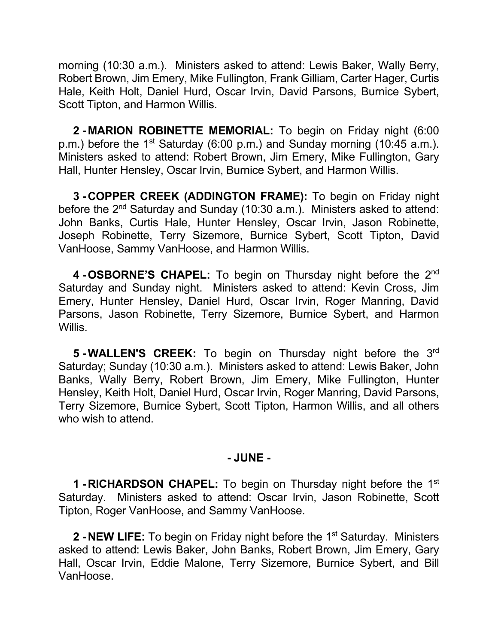morning (10:30 a.m.). Ministers asked to attend: Lewis Baker, Wally Berry, Robert Brown, Jim Emery, Mike Fullington, Frank Gilliam, Carter Hager, Curtis Hale, Keith Holt, Daniel Hurd, Oscar Irvin, David Parsons, Burnice Sybert, Scott Tipton, and Harmon Willis.

**2 - MARION ROBINETTE MEMORIAL:** To begin on Friday night (6:00 p.m.) before the 1<sup>st</sup> Saturday (6:00 p.m.) and Sunday morning (10:45 a.m.). Ministers asked to attend: Robert Brown, Jim Emery, Mike Fullington, Gary Hall, Hunter Hensley, Oscar Irvin, Burnice Sybert, and Harmon Willis.

**3 -COPPER CREEK (ADDINGTON FRAME):** To begin on Friday night before the 2<sup>nd</sup> Saturday and Sunday (10:30 a.m.). Ministers asked to attend: John Banks, Curtis Hale, Hunter Hensley, Oscar Irvin, Jason Robinette, Joseph Robinette, Terry Sizemore, Burnice Sybert, Scott Tipton, David VanHoose, Sammy VanHoose, and Harmon Willis.

**4 -OSBORNE'S CHAPEL:** To begin on Thursday night before the 2nd Saturday and Sunday night. Ministers asked to attend: Kevin Cross, Jim Emery, Hunter Hensley, Daniel Hurd, Oscar Irvin, Roger Manring, David Parsons, Jason Robinette, Terry Sizemore, Burnice Sybert, and Harmon Willis.

**5 -WALLEN'S CREEK:** To begin on Thursday night before the 3rd Saturday; Sunday (10:30 a.m.). Ministers asked to attend: Lewis Baker, John Banks, Wally Berry, Robert Brown, Jim Emery, Mike Fullington, Hunter Hensley, Keith Holt, Daniel Hurd, Oscar Irvin, Roger Manring, David Parsons, Terry Sizemore, Burnice Sybert, Scott Tipton, Harmon Willis, and all others who wish to attend.

## **- JUNE -**

**1 -RICHARDSON CHAPEL:** To begin on Thursday night before the 1st Saturday. Ministers asked to attend: Oscar Irvin, Jason Robinette, Scott Tipton, Roger VanHoose, and Sammy VanHoose.

**2 - NEW LIFE:** To begin on Friday night before the 1<sup>st</sup> Saturday. Ministers asked to attend: Lewis Baker, John Banks, Robert Brown, Jim Emery, Gary Hall, Oscar Irvin, Eddie Malone, Terry Sizemore, Burnice Sybert, and Bill VanHoose.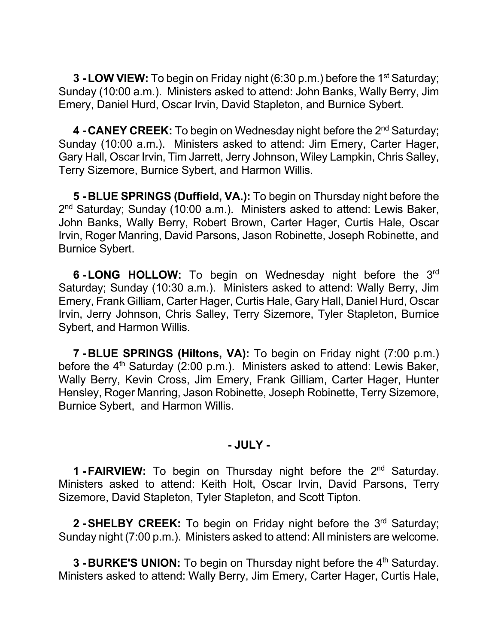**3 - LOW VIEW:** To begin on Friday night (6:30 p.m.) before the 1<sup>st</sup> Saturday; Sunday (10:00 a.m.). Ministers asked to attend: John Banks, Wally Berry, Jim Emery, Daniel Hurd, Oscar Irvin, David Stapleton, and Burnice Sybert.

4 - CANEY CREEK: To begin on Wednesday night before the 2<sup>nd</sup> Saturday; Sunday (10:00 a.m.). Ministers asked to attend: Jim Emery, Carter Hager, Gary Hall, Oscar Irvin, Tim Jarrett, Jerry Johnson, Wiley Lampkin, Chris Salley, Terry Sizemore, Burnice Sybert, and Harmon Willis.

**5 -BLUE SPRINGS (Duffield, VA.):** To begin on Thursday night before the 2<sup>nd</sup> Saturday; Sunday (10:00 a.m.). Ministers asked to attend: Lewis Baker, John Banks, Wally Berry, Robert Brown, Carter Hager, Curtis Hale, Oscar Irvin, Roger Manring, David Parsons, Jason Robinette, Joseph Robinette, and Burnice Sybert.

**6 -LONG HOLLOW:** To begin on Wednesday night before the 3rd Saturday; Sunday (10:30 a.m.). Ministers asked to attend: Wally Berry, Jim Emery, Frank Gilliam, Carter Hager, Curtis Hale, Gary Hall, Daniel Hurd, Oscar Irvin, Jerry Johnson, Chris Salley, Terry Sizemore, Tyler Stapleton, Burnice Sybert, and Harmon Willis.

**7 -BLUE SPRINGS (Hiltons, VA):** To begin on Friday night (7:00 p.m.) before the  $4<sup>th</sup>$  Saturday (2:00 p.m.). Ministers asked to attend: Lewis Baker, Wally Berry, Kevin Cross, Jim Emery, Frank Gilliam, Carter Hager, Hunter Hensley, Roger Manring, Jason Robinette, Joseph Robinette, Terry Sizemore, Burnice Sybert, and Harmon Willis.

## **- JULY -**

**1 -FAIRVIEW:** To begin on Thursday night before the 2nd Saturday. Ministers asked to attend: Keith Holt, Oscar Irvin, David Parsons, Terry Sizemore, David Stapleton, Tyler Stapleton, and Scott Tipton.

**2 - SHELBY CREEK:** To begin on Friday night before the 3<sup>rd</sup> Saturday; Sunday night (7:00 p.m.). Ministers asked to attend: All ministers are welcome.

**3 - BURKE'S UNION:** To begin on Thursday night before the 4<sup>th</sup> Saturday. Ministers asked to attend: Wally Berry, Jim Emery, Carter Hager, Curtis Hale,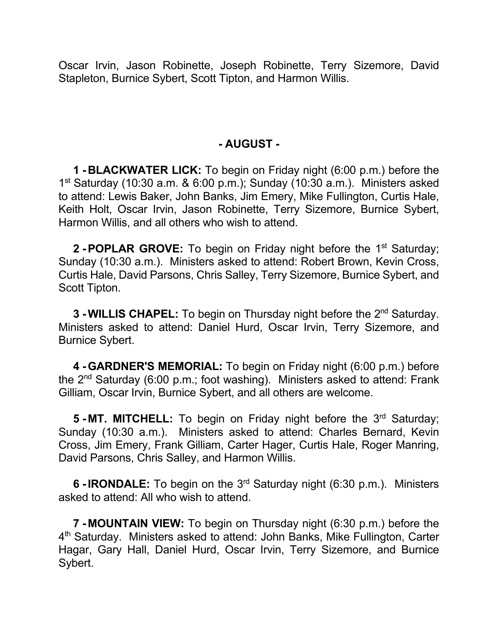Oscar Irvin, Jason Robinette, Joseph Robinette, Terry Sizemore, David Stapleton, Burnice Sybert, Scott Tipton, and Harmon Willis.

## **- AUGUST -**

**1 -BLACKWATER LICK:** To begin on Friday night (6:00 p.m.) before the  $1<sup>st</sup>$  Saturday (10:30 a.m. & 6:00 p.m.); Sunday (10:30 a.m.). Ministers asked to attend: Lewis Baker, John Banks, Jim Emery, Mike Fullington, Curtis Hale, Keith Holt, Oscar Irvin, Jason Robinette, Terry Sizemore, Burnice Sybert, Harmon Willis, and all others who wish to attend.

**2 - POPLAR GROVE:** To begin on Friday night before the 1<sup>st</sup> Saturday; Sunday (10:30 a.m.). Ministers asked to attend: Robert Brown, Kevin Cross, Curtis Hale, David Parsons, Chris Salley, Terry Sizemore, Burnice Sybert, and Scott Tipton.

**3 -WILLIS CHAPEL:** To begin on Thursday night before the 2nd Saturday. Ministers asked to attend: Daniel Hurd, Oscar Irvin, Terry Sizemore, and Burnice Sybert.

**4 -GARDNER'S MEMORIAL:** To begin on Friday night (6:00 p.m.) before the  $2^{nd}$  Saturday (6:00 p.m.; foot washing). Ministers asked to attend: Frank Gilliam, Oscar Irvin, Burnice Sybert, and all others are welcome.

**5 - MT. MITCHELL:** To begin on Friday night before the 3rd Saturday; Sunday (10:30 a.m.). Ministers asked to attend: Charles Bernard, Kevin Cross, Jim Emery, Frank Gilliam, Carter Hager, Curtis Hale, Roger Manring, David Parsons, Chris Salley, and Harmon Willis.

**6 -IRONDALE:** To begin on the 3rd Saturday night (6:30 p.m.). Ministers asked to attend: All who wish to attend.

**7 - MOUNTAIN VIEW:** To begin on Thursday night (6:30 p.m.) before the 4th Saturday. Ministers asked to attend: John Banks, Mike Fullington, Carter Hagar, Gary Hall, Daniel Hurd, Oscar Irvin, Terry Sizemore, and Burnice Sybert.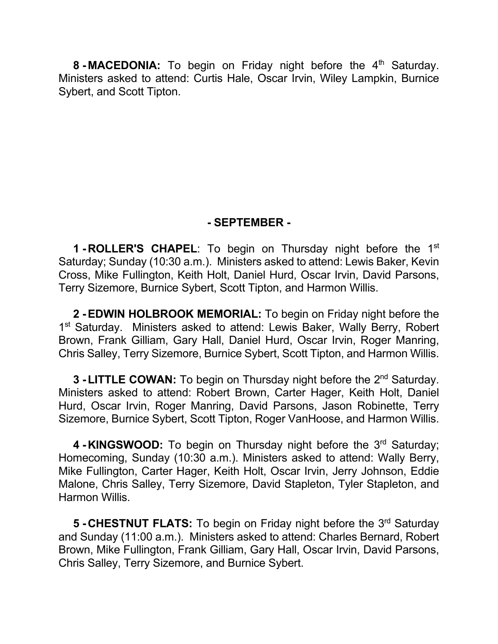**8 -MACEDONIA:** To begin on Friday night before the 4<sup>th</sup> Saturday. Ministers asked to attend: Curtis Hale, Oscar Irvin, Wiley Lampkin, Burnice Sybert, and Scott Tipton.

# **- SEPTEMBER -**

**1 - ROLLER'S CHAPEL:** To begin on Thursday night before the 1<sup>st</sup> Saturday; Sunday (10:30 a.m.). Ministers asked to attend: Lewis Baker, Kevin Cross, Mike Fullington, Keith Holt, Daniel Hurd, Oscar Irvin, David Parsons, Terry Sizemore, Burnice Sybert, Scott Tipton, and Harmon Willis.

**2 -EDWIN HOLBROOK MEMORIAL:** To begin on Friday night before the 1<sup>st</sup> Saturday. Ministers asked to attend: Lewis Baker, Wally Berry, Robert Brown, Frank Gilliam, Gary Hall, Daniel Hurd, Oscar Irvin, Roger Manring, Chris Salley, Terry Sizemore, Burnice Sybert, Scott Tipton, and Harmon Willis.

**3 - LITTLE COWAN:** To begin on Thursday night before the 2<sup>nd</sup> Saturday. Ministers asked to attend: Robert Brown, Carter Hager, Keith Holt, Daniel Hurd, Oscar Irvin, Roger Manring, David Parsons, Jason Robinette, Terry Sizemore, Burnice Sybert, Scott Tipton, Roger VanHoose, and Harmon Willis.

4 - KINGSWOOD: To begin on Thursday night before the 3<sup>rd</sup> Saturday; Homecoming, Sunday (10:30 a.m.). Ministers asked to attend: Wally Berry, Mike Fullington, Carter Hager, Keith Holt, Oscar Irvin, Jerry Johnson, Eddie Malone, Chris Salley, Terry Sizemore, David Stapleton, Tyler Stapleton, and Harmon Willis.

**5 - CHESTNUT FLATS:** To begin on Friday night before the 3<sup>rd</sup> Saturday and Sunday (11:00 a.m.). Ministers asked to attend: Charles Bernard, Robert Brown, Mike Fullington, Frank Gilliam, Gary Hall, Oscar Irvin, David Parsons, Chris Salley, Terry Sizemore, and Burnice Sybert.